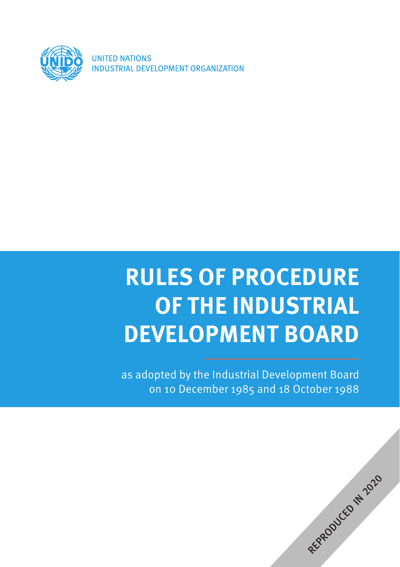

**UNITED NATIONS** INDUSTRIAL DEVELOPMENT ORGANIZATION

# **RULES OF PROCEDURE OF THE INDUSTRIAL DEVELOPMENT BOARD**

as adopted by the Industrial Development Board on 10 December 1985 and 18 October 1988

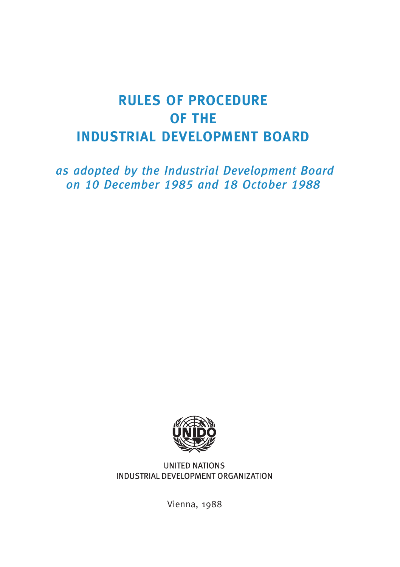## **RULES OF PROCEDURE OF THE INDUSTRIAL DEVELOPMENT BOARD**

1as adopted by the Industrial Development Board on 10 December 1985 and 18 October 1988



**UNITED NATIONS** INDUSTRIAL DEVELOPMENT ORGANIZATION

Vienna, 1988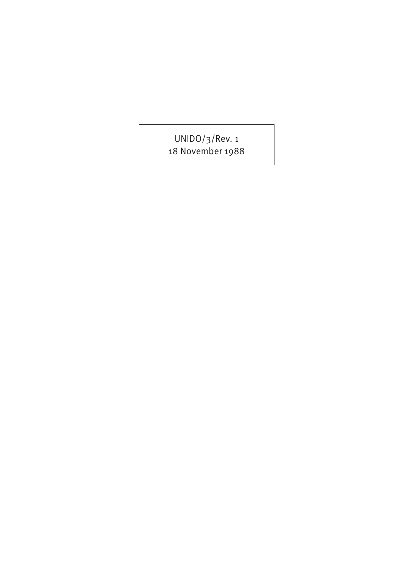UNIDO/3/Rev. 1 18 November 1988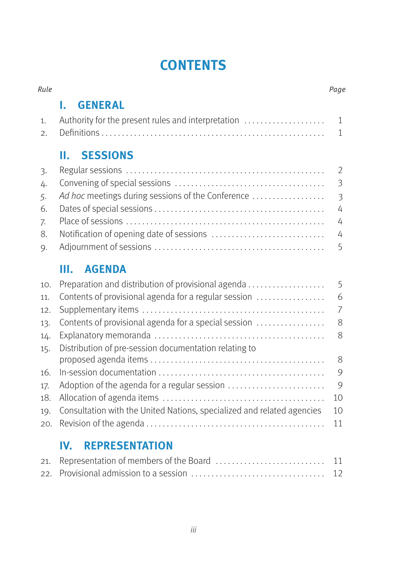## **CONTENTS**

| Rule             |                                                                        | Page                    |
|------------------|------------------------------------------------------------------------|-------------------------|
|                  | <b>GENERAL</b><br>I.                                                   |                         |
| 1.               | Authority for the present rules and interpretation                     | $\mathbf{1}$            |
| $\mathfrak{2}$ . |                                                                        | $\mathbf{1}$            |
|                  | <b>SESSIONS</b><br>н.                                                  |                         |
| 3.               |                                                                        | 2                       |
| 4.               |                                                                        | $\overline{3}$          |
| 5.               | Ad hoc meetings during sessions of the Conference                      | $\overline{\mathbf{3}}$ |
| 6.               |                                                                        | 4                       |
| 7.               |                                                                        | 4                       |
| 8.               |                                                                        | 4                       |
| 9.               |                                                                        | 5                       |
|                  | <b>AGENDA</b><br>Ш.                                                    |                         |
| 10.              | Preparation and distribution of provisional agenda                     | 5                       |
| 11.              | Contents of provisional agenda for a regular session                   | 6                       |
| 12.              |                                                                        | $\overline{7}$          |
| 13.              | Contents of provisional agenda for a special session                   | 8                       |
| 14.              |                                                                        | 8                       |
| 15.              | Distribution of pre-session documentation relating to                  |                         |
|                  |                                                                        | 8                       |
| 16.              |                                                                        | 9                       |
| 17.              | Adoption of the agenda for a regular session                           | 9                       |
| 18.              |                                                                        | 10                      |
| 19.              | Consultation with the United Nations, specialized and related agencies | 10                      |
| 20.              |                                                                        | 11                      |

#### **IV. [REPRESENTATION](#page-18-0)**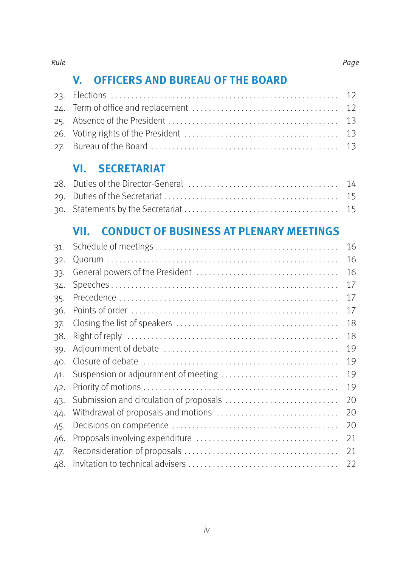#### **V. [OFFICERS AND BUREAU OF THE BOARD](#page-19-0)**

#### **VI. [SECRETARIAT](#page-21-0)**

#### **VII. [CONDUCT OF BUSINESS AT PLENARY MEETINGS](#page-23-0)**

| 31. |                                         | 16 |
|-----|-----------------------------------------|----|
| 32. |                                         | 16 |
| 33. |                                         | 16 |
| 34. |                                         | 17 |
| 35. |                                         | 17 |
| 36. |                                         | 17 |
| 37. |                                         | 18 |
| 38. |                                         | 18 |
| 39. |                                         | 19 |
| 40. |                                         | 19 |
| 41. | Suspension or adjournment of meeting    | 19 |
| 42. |                                         | 19 |
| 43. | Submission and circulation of proposals | 20 |
| 44. | Withdrawal of proposals and motions     | 20 |
| 45. |                                         | 20 |
| 46. |                                         | 21 |
| 47. |                                         | 21 |
| 48. |                                         | 22 |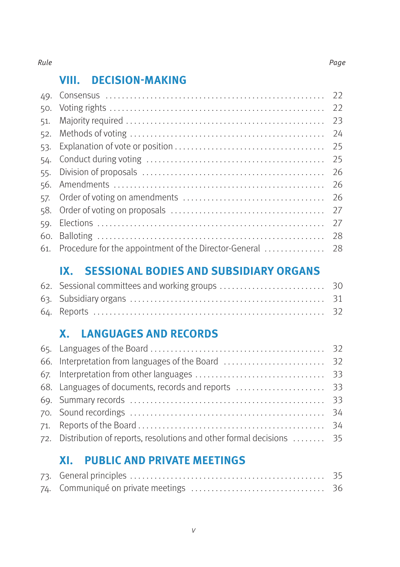#### Rule **Rule** Page 2014 **Page 2014** Page 2014 **Page 2014** Page 2014 2014 2014 2014 2014 2014

#### **VIII. [DECISION-MAKING](#page-29-0)**

|     |                                                           | 22 |
|-----|-----------------------------------------------------------|----|
|     |                                                           | 22 |
| 51. |                                                           | 23 |
| 52. |                                                           | 24 |
| 53. |                                                           | 25 |
| 54. |                                                           | 25 |
| 55. |                                                           | 26 |
|     |                                                           | 26 |
| 57. |                                                           | 26 |
| 58. |                                                           | 27 |
| 59. |                                                           | 27 |
|     |                                                           | 28 |
|     | 61. Procedure for the appointment of the Director-General | 28 |
|     |                                                           |    |

#### **IX. [SESSIONAL BODIES AND SUBSIDIARY ORGANS](#page-37-0)**

#### **X. [LANGUAGES AND RECORDS](#page-39-0)**

| 72. Distribution of reports, resolutions and other formal decisions  35 |  |
|-------------------------------------------------------------------------|--|
|                                                                         |  |

#### **XI. [PUBLIC AND PRIVATE MEETINGS](#page-42-0)**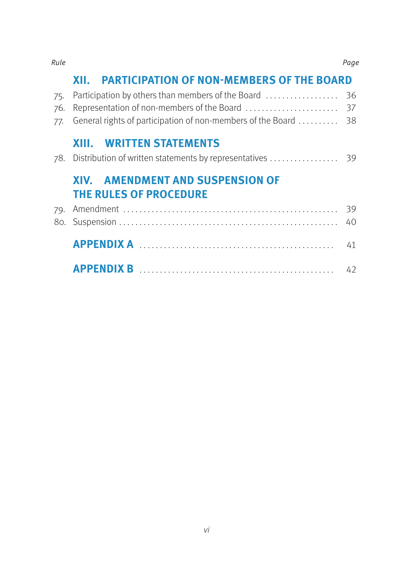#### **XII. [PARTICIPATION OF NON-MEMBERS OF THE BOARD](#page-43-0)**

| 77. General rights of participation of non-members of the Board  38 |                                                                          |  |  |  |
|---------------------------------------------------------------------|--------------------------------------------------------------------------|--|--|--|
|                                                                     | <b>XIII. WRITTEN STATEMENTS</b>                                          |  |  |  |
|                                                                     | <b>XIV. AMENDMENT AND SUSPENSION OF</b><br><b>THE RULES OF PROCEDURE</b> |  |  |  |
|                                                                     |                                                                          |  |  |  |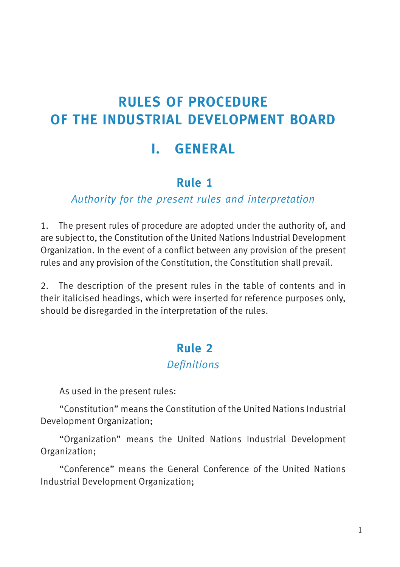## <span id="page-8-0"></span>**RULES OF PROCEDURE OF THE INDUSTRIAL DEVELOPMENT BOARD**

## **I. GENERAL**

### **3Rule 1**

#### Authority for the present rules and interpretation

1. The present rules of procedure are adopted under the authority of, and are subject to, the Constitution of the United Nations Industrial Development Organization. In the event of a conflict between any provision of the present rules and any provision of the Constitution, the Constitution shall prevail.

2. The description of the present rules in the table of contents and in their italicised headings, which were inserted for reference purposes only, should be disregarded in the interpretation of the rules.

#### **4Rule 2**

#### **Definitions**

As used in the present rules:

"Constitution" means the Constitution of the United Nations Industrial Development Organization;

"Organization" means the United Nations Industrial Development Organization;

"Conference" means the General Conference of the United Nations Industrial Development Organization;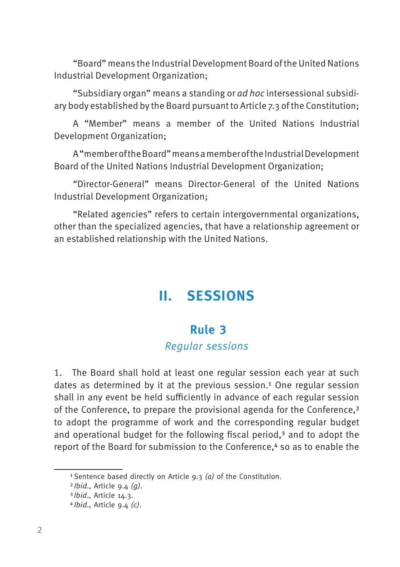<span id="page-9-0"></span>"Board" means the Industrial Development Board of the United Nations Industrial Development Organization;

"Subsidiary organ" means a standing or ad hoc intersessional subsidiary body established by the Board pursuant to Article 7.3 of the Constitution;

A "Member" means a member of the United Nations Industrial Development Organization;

A "member of the Board" means a member of the Industrial Development Board of the United Nations Industrial Development Organization;

"Director-General" means Director-General of the United Nations Industrial Development Organization;

"Related agencies" refers to certain intergovernmental organizations, other than the specialized agencies, that have a relationship agreement or an established relationship with the United Nations.

## **II. SESSIONS**

#### **5Rule 3**

#### Regular sessions

1. The Board shall hold at least one regular session each year at such dates as determined by it at the previous session.<sup>1</sup> One regular session shall in any event be held sufficiently in advance of each regular session of the Conference, to prepare the provisional agenda for the Conference,2 to adopt the programme of work and the corresponding regular budget and operational budget for the following fiscal period,<sup>3</sup> and to adopt the report of the Board for submission to the Conference.<sup>4</sup> so as to enable the

<sup>&</sup>lt;sup>1</sup> Sentence based directly on Article  $9.3$  (a) of the Constitution.

 $2Ibid., Article 9.4 (q).$ 

<sup>3</sup>Ibid., Article 14.3.

 $4Ibid., Article 9.4 (c).$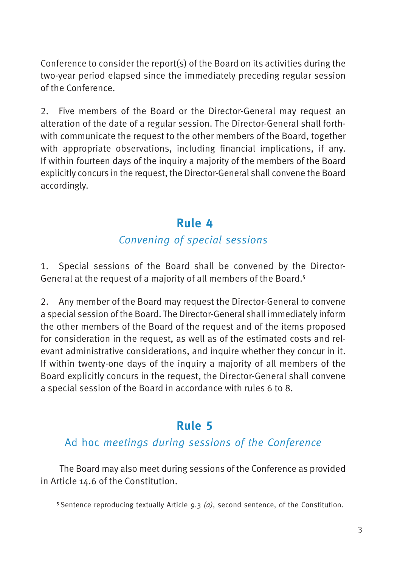<span id="page-10-0"></span>Conference to consider the report(s) of the Board on its activities during the two-year period elapsed since the immediately preceding regular session of the Conference.

2. Five members of the Board or the Director-General may request an alteration of the date of a regular session. The Director-General shall forthwith communicate the request to the other members of the Board, together with appropriate observations, including financial implications, if any. If within fourteen days of the inquiry a majority of the members of the Board explicitly concurs in the request, the Director-General shall convene the Board accordingly.

#### **6Rule 4**

#### Convening of special sessions

1. Special sessions of the Board shall be convened by the Director-General at the request of a majority of all members of the Board.5

2. Any member of the Board may request the Director-General to convene a special session of the Board. The Director-General shall immediately inform the other members of the Board of the request and of the items proposed for consideration in the request, as well as of the estimated costs and relevant administrative considerations, and inquire whether they concur in it. If within twenty-one days of the inquiry a majority of all members of the Board explicitly concurs in the request, the Director-General shall convene a special session of the Board in accordance with rules 6 to 8.

### **7Rule 5**

#### Ad hoc meetings during sessions of the Conference

The Board may also meet during sessions of the Conference as provided in Article 14.6 of the Constitution.

<sup>&</sup>lt;sup>5</sup> Sentence reproducing textually Article 9.3 (a), second sentence, of the Constitution.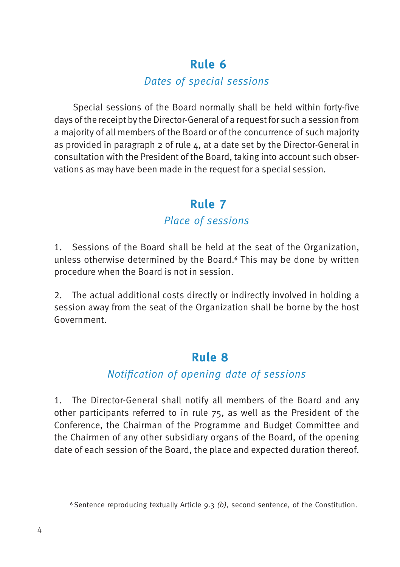#### Dates of special sessions

<span id="page-11-0"></span>Special sessions of the Board normally shall be held within forty-five days of the receipt by the Director-General of a request for such a session from a majority of all members of the Board or of the concurrence of such majority as provided in paragraph  $2$  of rule  $4$ , at a date set by the Director-General in consultation with the President of the Board, taking into account such observations as may have been made in the request for a special session.

#### **9Rule 7**

#### Place of sessions

1. Sessions of the Board shall be held at the seat of the Organization, unless otherwise determined by the Board.<sup>6</sup> This may be done by written procedure when the Board is not in session.

2. The actual additional costs directly or indirectly involved in holding a session away from the seat of the Organization shall be borne by the host Government.

#### **10Rule 8**

#### Notification of opening date of sessions

1. The Director-General shall notify all members of the Board and any other participants referred to in rule 75, as well as the President of the Conference, the Chairman of the Programme and Budget Committee and the Chairmen of any other subsidiary organs of the Board, of the opening date of each session of the Board, the place and expected duration thereof.

<sup>&</sup>lt;sup>6</sup> Sentence reproducing textually Article 9.3 (b), second sentence, of the Constitution.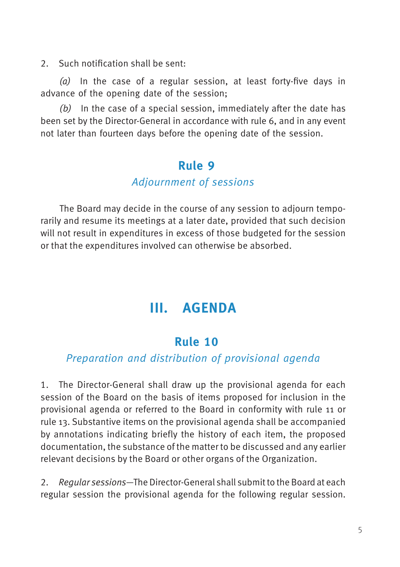<span id="page-12-0"></span>2. Such notification shall be sent:

(a) In the case of a regular session, at least forty-five days in advance of the opening date of the session;

 $(b)$  In the case of a special session, immediately after the date has been set by the Director-General in accordance with rule 6, and in any event not later than fourteen days before the opening date of the session.

#### **Rule 9**

#### Adjournment of sessions

The Board may decide in the course of any session to adjourn temporarily and resume its meetings at a later date, provided that such decision will not result in expenditures in excess of those budgeted for the session or that the expenditures involved can otherwise be absorbed.

## **III. AGENDA**

#### **12Rule 10**

#### Preparation and distribution of provisional agenda

1. The Director-General shall draw up the provisional agenda for each session of the Board on the basis of items proposed for inclusion in the provisional agenda or referred to the Board in conformity with rule 11 or rule 13. Substantive items on the provisional agenda shall be accompanied by annotations indicating briefly the history of each item, the proposed documentation, the substance of the matter to be discussed and any earlier relevant decisions by the Board or other organs of the Organization.

2. Regular sessions—The Director-General shall submit to the Board at each regular session the provisional agenda for the following regular session.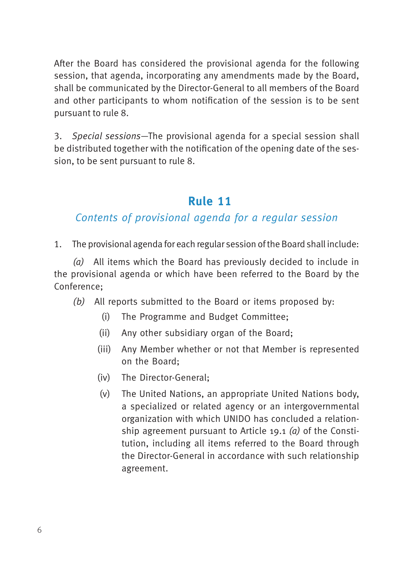<span id="page-13-0"></span>After the Board has considered the provisional agenda for the following session, that agenda, incorporating any amendments made by the Board, shall be communicated by the Director-General to all members of the Board and other participants to whom notification of the session is to be sent pursuant to rule 8.

3. Special sessions—The provisional agenda for a special session shall be distributed together with the notification of the opening date of the session, to be sent pursuant to rule 8.

#### **13Rule 11**

#### Contents of provisional agenda for a regular session

1. The provisional agenda for each regular session of the Board shall include:

(a) All items which the Board has previously decided to include in the provisional agenda or which have been referred to the Board by the Conference;

- (b) All reports submitted to the Board or items proposed by:
	- (i) The Programme and Budget Committee;
	- (ii) Any other subsidiary organ of the Board;
	- (iii) Any Member whether or not that Member is represented on the Board;
	- (iv) The Director-General;
	- (v) The United Nations, an appropriate United Nations body, a specialized or related agency or an intergovernmental organization with which UNIDO has concluded a relationship agreement pursuant to Article 19.1 (a) of the Constitution, including all items referred to the Board through the Director-General in accordance with such relationship agreement.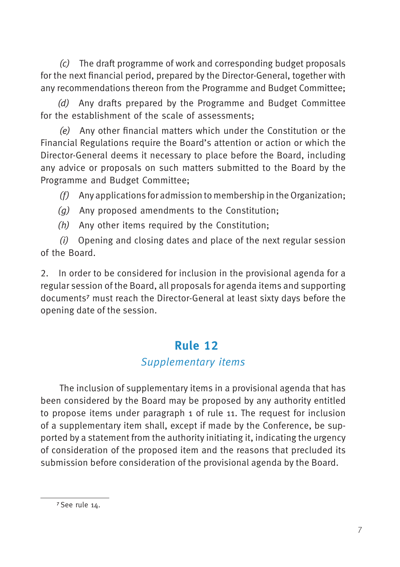<span id="page-14-0"></span>(c) The draft programme of work and corresponding budget proposals for the next financial period, prepared by the Director-General, together with any recommendations thereon from the Programme and Budget Committee;

(d) Any drafts prepared by the Programme and Budget Committee for the establishment of the scale of assessments;

(e) Any other financial matters which under the Constitution or the Financial Regulations require the Board's attention or action or which the Director-General deems it necessary to place before the Board, including any advice or proposals on such matters submitted to the Board by the Programme and Budget Committee;

 $(f)$  Any applications for admission to membership in the Organization;

- (g) Any proposed amendments to the Constitution;
- (h) Any other items required by the Constitution;

(i) Opening and closing dates and place of the next regular session of the Board.

2. In order to be considered for inclusion in the provisional agenda for a regular session of the Board, all proposals for agenda items and supporting documents7 must reach the Director-General at least sixty days before the opening date of the session.

## **Rule 12**

#### Supplementary items

The inclusion of supplementary items in a provisional agenda that has been considered by the Board may be proposed by any authority entitled to propose items under paragraph 1 of rule 11. The request for inclusion of a supplementary item shall, except if made by the Conference, be supported by a statement from the authority initiating it, indicating the urgency of consideration of the proposed item and the reasons that precluded its submission before consideration of the provisional agenda by the Board.

<sup>7</sup> See rule 14.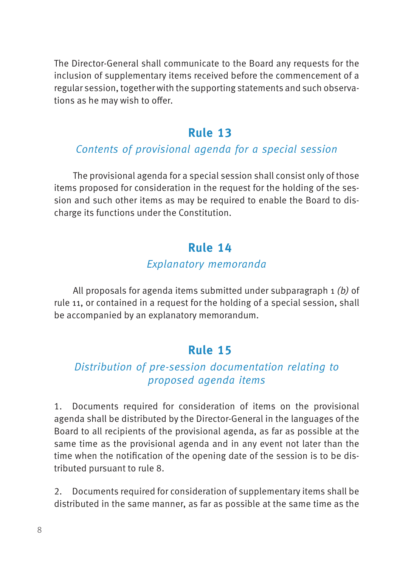<span id="page-15-0"></span>The Director-General shall communicate to the Board any requests for the inclusion of supplementary items received before the commencement of a regular session, together with the supporting statements and such observations as he may wish to offer.

#### **15Rule 13**

#### Contents of provisional agenda for a special session

The provisional agenda for a special session shall consist only of those items proposed for consideration in the request for the holding of the session and such other items as may be required to enable the Board to discharge its functions under the Constitution.

#### **Rule 14**

#### Explanatory memoranda

All proposals for agenda items submitted under subparagraph 1 (b) of rule 11, or contained in a request for the holding of a special session, shall be accompanied by an explanatory memorandum.

#### **17Rule 15**

#### Distribution of pre-session documentation relating to proposed agenda items

1. Documents required for consideration of items on the provisional agenda shall be distributed by the Director-General in the languages of the Board to all recipients of the provisional agenda, as far as possible at the same time as the provisional agenda and in any event not later than the time when the notification of the opening date of the session is to be distributed pursuant to rule 8.

2. Documents required for consideration of supplementary items shall be distributed in the same manner, as far as possible at the same time as the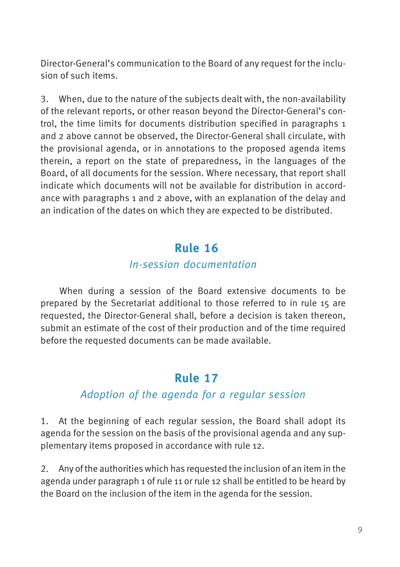<span id="page-16-0"></span>Director-General's communication to the Board of any request for the inclusion of such items.

3. When, due to the nature of the subjects dealt with, the non-availability of the relevant reports, or other reason beyond the Director-General's control, the time limits for documents distribution specified in paragraphs 1 and 2 above cannot be observed, the Director-General shall circulate, with the provisional agenda, or in annotations to the proposed agenda items therein, a report on the state of preparedness, in the languages of the Board, of all documents for the session. Where necessary, that report shall indicate which documents will not be available for distribution in accordance with paragraphs 1 and 2 above, with an explanation of the delay and an indication of the dates on which they are expected to be distributed.

#### **18Rule 16**

#### In-session documentation

When during a session of the Board extensive documents to be prepared by the Secretariat additional to those referred to in rule 15 are requested, the Director-General shall, before a decision is taken thereon, submit an estimate of the cost of their production and of the time required before the requested documents can be made available.

## **Rule 17**

#### Adoption of the agenda for a regular session

1. At the beginning of each regular session, the Board shall adopt its agenda for the session on the basis of the provisional agenda and any supplementary items proposed in accordance with rule 12.

2. Any of the authorities which has requested the inclusion of an item in the agenda under paragraph 1 of rule 11 or rule 12 shall be entitled to be heard by the Board on the inclusion of the item in the agenda for the session.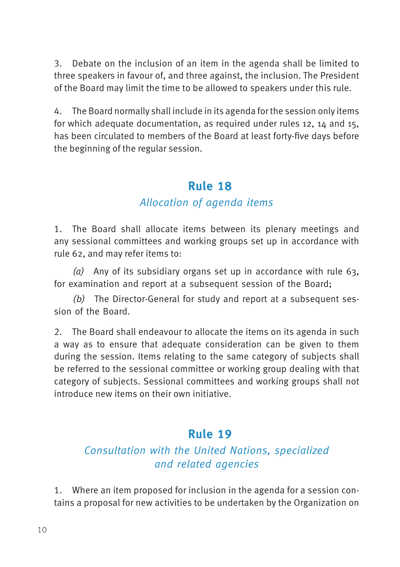<span id="page-17-0"></span>3. Debate on the inclusion of an item in the agenda shall be limited to three speakers in favour of, and three against, the inclusion. The President of the Board may limit the time to be allowed to speakers under this rule.

4. The Board normally shall include in its agenda for the session only items for which adequate documentation, as required under rules 12, 14 and 15, has been circulated to members of the Board at least forty-five days before the beginning of the regular session.

#### **20Rule 18**

#### Allocation of agenda items

1. The Board shall allocate items between its plenary meetings and any sessional committees and working groups set up in accordance with rule 62, and may refer items to:

(a) Any of its subsidiary organs set up in accordance with rule  $63$ , for examination and report at a subsequent session of the Board;

(b) The Director-General for study and report at a subsequent session of the Board.

2. The Board shall endeavour to allocate the items on its agenda in such a way as to ensure that adequate consideration can be given to them during the session. Items relating to the same category of subjects shall be referred to the sessional committee or working group dealing with that category of subjects. Sessional committees and working groups shall not introduce new items on their own initiative.

#### **21Rule 19**

#### Consultation with the United Nations, specialized and related agencies

1. Where an item proposed for inclusion in the agenda for a session contains a proposal for new activities to be undertaken by the Organization on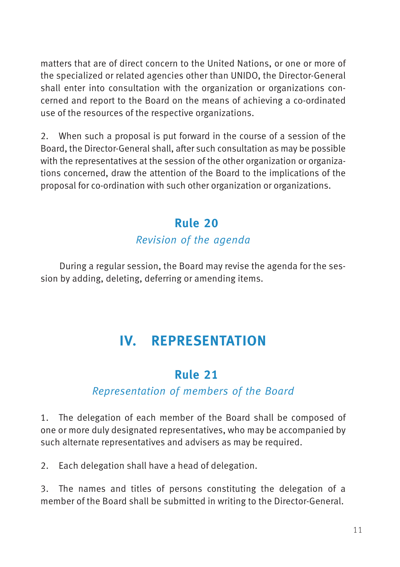<span id="page-18-0"></span>matters that are of direct concern to the United Nations, or one or more of the specialized or related agencies other than UNIDO, the Director-General shall enter into consultation with the organization or organizations concerned and report to the Board on the means of achieving a co-ordinated use of the resources of the respective organizations.

2. When such a proposal is put forward in the course of a session of the Board, the Director-General shall, after such consultation as may be possible with the representatives at the session of the other organization or organizations concerned, draw the attention of the Board to the implications of the proposal for co-ordination with such other organization or organizations.

#### **22Rule 20**

#### Revision of the agenda

During a regular session, the Board may revise the agenda for the session by adding, deleting, deferring or amending items.

## **IV. REPRESENTATION**

### **23Rule 21**

#### Representation of members of the Board

1. The delegation of each member of the Board shall be composed of one or more duly designated representatives, who may be accompanied by such alternate representatives and advisers as may be required.

2. Each delegation shall have a head of delegation.

3. The names and titles of persons constituting the delegation of a member of the Board shall be submitted in writing to the Director-General.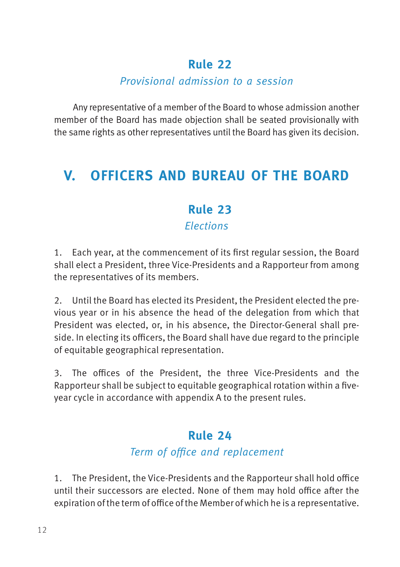#### Provisional admission to a session

<span id="page-19-0"></span>Any representative of a member of the Board to whose admission another member of the Board has made objection shall be seated provisionally with the same rights as other representatives until the Board has given its decision.

## **V. OFFICERS AND BUREAU OF THE BOARD**

## **25Rule 23**

Elections

1. Each year, at the commencement of its first regular session, the Board shall elect a President, three Vice-Presidents and a Rapporteur from among the representatives of its members.

2. Until the Board has elected its President, the President elected the previous year or in his absence the head of the delegation from which that President was elected, or, in his absence, the Director-General shall preside. In electing its officers, the Board shall have due regard to the principle of equitable geographical representation.

3. The offices of the President, the three Vice-Presidents and the Rapporteur shall be subject to equitable geographical rotation within a fiveyear cycle in accordance with appendix A to the present rules.

#### **26Rule 24**

#### Term of office and replacement

1. The President, the Vice-Presidents and the Rapporteur shall hold office until their successors are elected. None of them may hold office after the expiration of the term of office of the Member of which he is a representative.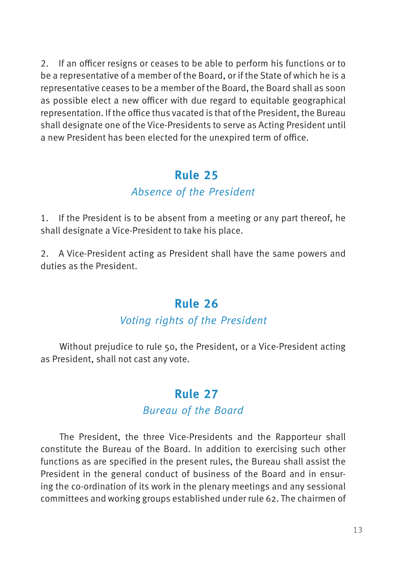<span id="page-20-0"></span>2. If an officer resigns or ceases to be able to perform his functions or to be a representative of a member of the Board, or if the State of which he is a representative ceases to be a member of the Board, the Board shall as soon as possible elect a new officer with due regard to equitable geographical representation. If the office thus vacated is that of the President, the Bureau shall designate one of the Vice-Presidents to serve as Acting President until a new President has been elected for the unexpired term of office.

#### **27Rule 25**

#### Absence of the President

1. If the President is to be absent from a meeting or any part thereof, he shall designate a Vice-President to take his place.

2. A Vice-President acting as President shall have the same powers and duties as the President.

#### **28Rule 26**

#### Voting rights of the President

Without prejudice to rule 50, the President, or a Vice-President acting as President, shall not cast any vote.

## **29Rule 27**

#### Bureau of the Board

The President, the three Vice-Presidents and the Rapporteur shall constitute the Bureau of the Board. In addition to exercising such other functions as are specified in the present rules, the Bureau shall assist the President in the general conduct of business of the Board and in ensuring the co-ordination of its work in the plenary meetings and any sessional committees and working groups established under rule 62. The chairmen of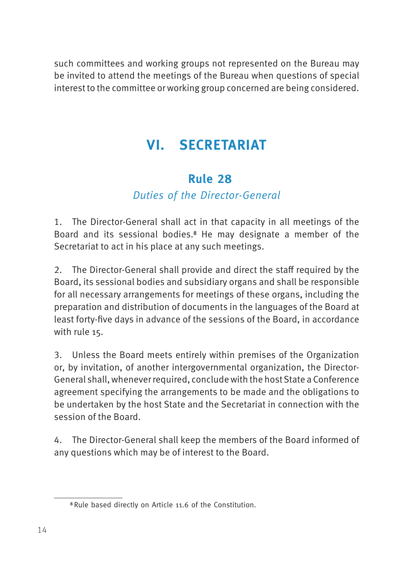<span id="page-21-0"></span>such committees and working groups not represented on the Bureau may be invited to attend the meetings of the Bureau when questions of special interest to the committee or working group concerned are being considered.

## **VI. SECRETARIAT**

## **30Rule 28**

#### Duties of the Director-General

1. The Director-General shall act in that capacity in all meetings of the Board and its sessional bodies.8 He may designate a member of the Secretariat to act in his place at any such meetings.

2. The Director-General shall provide and direct the staff required by the Board, its sessional bodies and subsidiary organs and shall be responsible for all necessary arrangements for meetings of these organs, including the preparation and distribution of documents in the languages of the Board at least forty-five days in advance of the sessions of the Board, in accordance with rule 15.

3. Unless the Board meets entirely within premises of the Organization or, by invitation, of another intergovernmental organization, the Director-General shall, whenever required, conclude with the host State a Conference agreement specifying the arrangements to be made and the obligations to be undertaken by the host State and the Secretariat in connection with the session of the Board.

4. The Director-General shall keep the members of the Board informed of any questions which may be of interest to the Board.

<sup>8</sup> Rule based directly on Article 11.6 of the Constitution.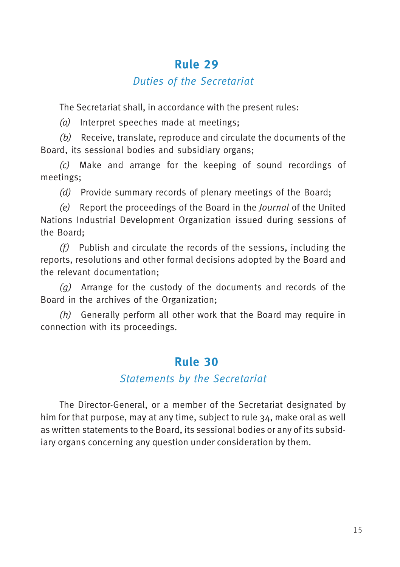#### Duties of the Secretariat

<span id="page-22-0"></span>The Secretariat shall, in accordance with the present rules:

(a) Interpret speeches made at meetings;

(b) Receive, translate, reproduce and circulate the documents of the Board, its sessional bodies and subsidiary organs;

(c) Make and arrange for the keeping of sound recordings of meetings;

(d) Provide summary records of plenary meetings of the Board;

(e) Report the proceedings of the Board in the Journal of the United Nations Industrial Development Organization issued during sessions of the Board;

 $(f)$  Publish and circulate the records of the sessions, including the reports, resolutions and other formal decisions adopted by the Board and the relevant documentation;

(g) Arrange for the custody of the documents and records of the Board in the archives of the Organization;

(h) Generally perform all other work that the Board may require in connection with its proceedings.

## **32Rule 30**

#### Statements by the Secretariat

The Director-General, or a member of the Secretariat designated by him for that purpose, may at any time, subject to rule 34, make oral as well as written statements to the Board, its sessional bodies or any of its subsidiary organs concerning any question under consideration by them.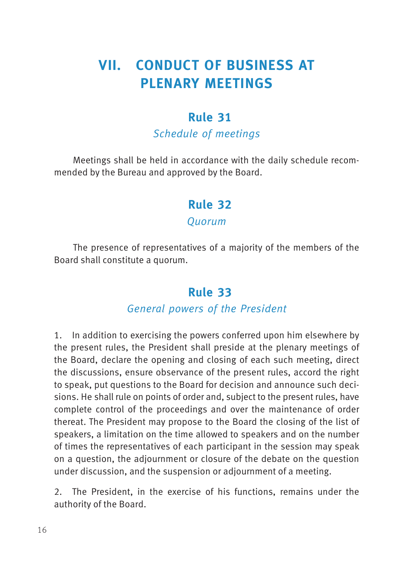## <span id="page-23-0"></span>**VII. CONDUCT OF BUSINESS AT PLENARY MEETINGS**

#### **33Rule 31**

#### Schedule of meetings

Meetings shall be held in accordance with the daily schedule recommended by the Bureau and approved by the Board.

#### **34Rule 32**

#### **Ouorum**

The presence of representatives of a majority of the members of the Board shall constitute a quorum.

#### **35Rule 33**

#### General powers of the President

1. In addition to exercising the powers conferred upon him elsewhere by the present rules, the President shall preside at the plenary meetings of the Board, declare the opening and closing of each such meeting, direct the discussions, ensure observance of the present rules, accord the right to speak, put questions to the Board for decision and announce such decisions. He shall rule on points of order and, subject to the present rules, have complete control of the proceedings and over the maintenance of order thereat. The President may propose to the Board the closing of the list of speakers, a limitation on the time allowed to speakers and on the number of times the representatives of each participant in the session may speak on a question, the adjournment or closure of the debate on the question under discussion, and the suspension or adjournment of a meeting.

2. The President, in the exercise of his functions, remains under the authority of the Board.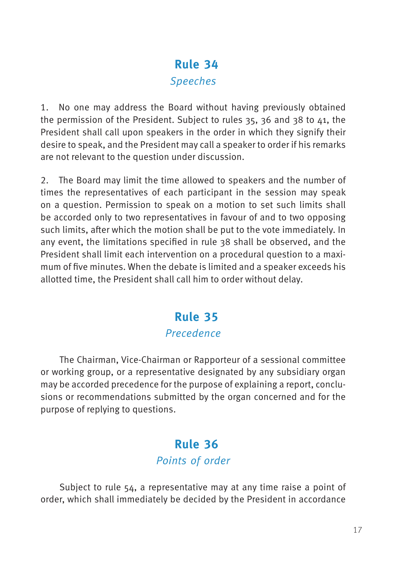## **36Rule 34** Speeches

<span id="page-24-0"></span>1. No one may address the Board without having previously obtained the permission of the President. Subject to rules 35, 36 and 38 to 41, the President shall call upon speakers in the order in which they signify their desire to speak, and the President may call a speaker to order if his remarks are not relevant to the question under discussion.

2. The Board may limit the time allowed to speakers and the number of times the representatives of each participant in the session may speak on a question. Permission to speak on a motion to set such limits shall be accorded only to two representatives in favour of and to two opposing such limits, after which the motion shall be put to the vote immediately. In any event, the limitations specified in rule 38 shall be observed, and the President shall limit each intervention on a procedural question to a maximum of five minutes. When the debate is limited and a speaker exceeds his allotted time, the President shall call him to order without delay.

#### **37Rule 35** Precedence

The Chairman, Vice-Chairman or Rapporteur of a sessional committee or working group, or a representative designated by any subsidiary organ may be accorded precedence for the purpose of explaining a report, conclusions or recommendations submitted by the organ concerned and for the purpose of replying to questions.

## **38Rule 36** Points of order

Subject to rule 54, a representative may at any time raise a point of order, which shall immediately be decided by the President in accordance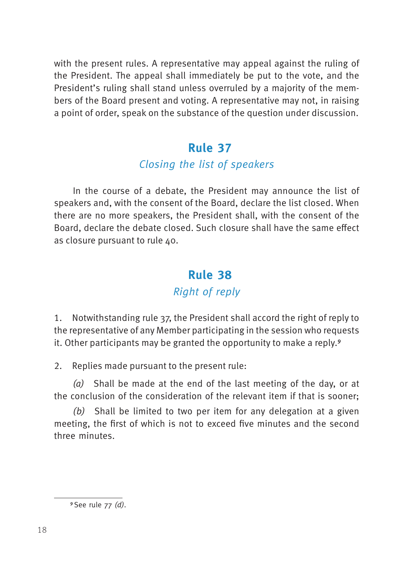<span id="page-25-0"></span>with the present rules. A representative may appeal against the ruling of the President. The appeal shall immediately be put to the vote, and the President's ruling shall stand unless overruled by a majority of the members of the Board present and voting. A representative may not, in raising a point of order, speak on the substance of the question under discussion.

#### **39Rule 37**

#### Closing the list of speakers

In the course of a debate, the President may announce the list of speakers and, with the consent of the Board, declare the list closed. When there are no more speakers, the President shall, with the consent of the Board, declare the debate closed. Such closure shall have the same effect as closure pursuant to rule 40.

### **40Rule 38**

#### Right of reply

1. Notwithstanding rule 37, the President shall accord the right of reply to the representative of any Member participating in the session who requests it. Other participants may be granted the opportunity to make a reply.9

2. Replies made pursuant to the present rule:

(a) Shall be made at the end of the last meeting of the day, or at the conclusion of the consideration of the relevant item if that is sooner;

(b) Shall be limited to two per item for any delegation at a given meeting, the first of which is not to exceed five minutes and the second three minutes.

<sup>9</sup> See rule 77 (d).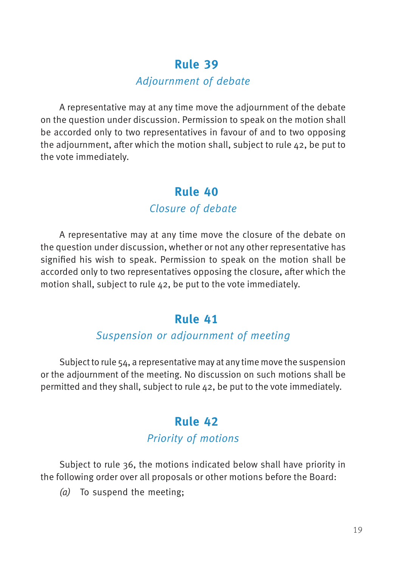#### Adjournment of debate

<span id="page-26-0"></span>A representative may at any time move the adjournment of the debate on the question under discussion. Permission to speak on the motion shall be accorded only to two representatives in favour of and to two opposing the adjournment, after which the motion shall, subject to rule 42, be put to the vote immediately.

#### **42Rule 40** Closure of debate

A representative may at any time move the closure of the debate on the question under discussion, whether or not any other representative has signified his wish to speak. Permission to speak on the motion shall be accorded only to two representatives opposing the closure, after which the motion shall, subject to rule 42, be put to the vote immediately.

#### **43Rule 41**

#### Suspension or adjournment of meeting

Subject to rule 54, a representative may at any time move the suspension or the adjournment of the meeting. No discussion on such motions shall be permitted and they shall, subject to rule  $\Delta$ 2, be put to the vote immediately.

#### **Rule 42** Priority of motions

Subject to rule 36, the motions indicated below shall have priority in the following order over all proposals or other motions before the Board:

(a) To suspend the meeting;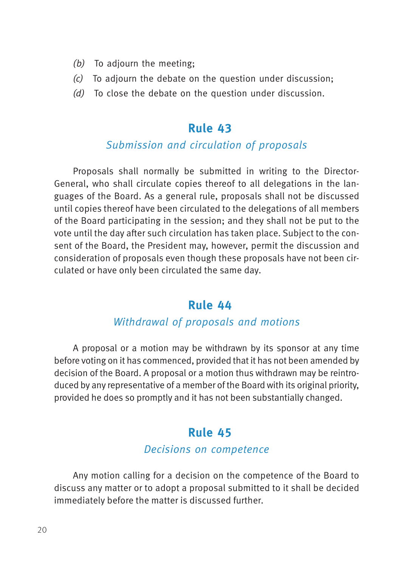- <span id="page-27-0"></span>(b) To adjourn the meeting;
- $(c)$  To adjourn the debate on the question under discussion:
- (d) To close the debate on the question under discussion.

#### Submission and circulation of proposals

Proposals shall normally be submitted in writing to the Director-General, who shall circulate copies thereof to all delegations in the languages of the Board. As a general rule, proposals shall not be discussed until copies thereof have been circulated to the delegations of all members of the Board participating in the session; and they shall not be put to the vote until the day after such circulation has taken place. Subject to the consent of the Board, the President may, however, permit the discussion and consideration of proposals even though these proposals have not been circulated or have only been circulated the same day.

#### **46Rule 44**

#### Withdrawal of proposals and motions

A proposal or a motion may be withdrawn by its sponsor at any time before voting on it has commenced, provided that it has not been amended by decision of the Board. A proposal or a motion thus withdrawn may be reintroduced by any representative of a member of the Board with its original priority, provided he does so promptly and it has not been substantially changed.

#### **47Rule 45**

#### Decisions on competence

Any motion calling for a decision on the competence of the Board to discuss any matter or to adopt a proposal submitted to it shall be decided immediately before the matter is discussed further.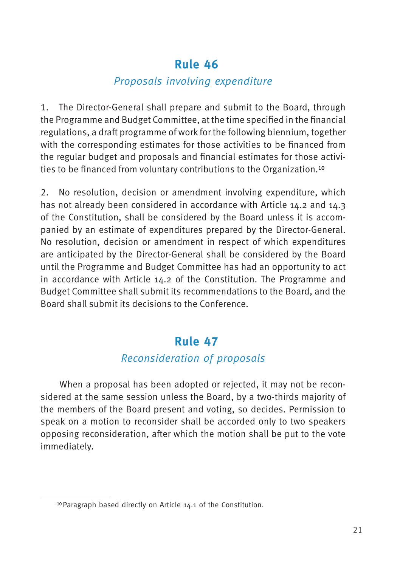#### Proposals involving expenditure

<span id="page-28-0"></span>1. The Director-General shall prepare and submit to the Board, through the Programme and Budget Committee, at the time specified in the financial regulations, a draft programme of work for the following biennium, together with the corresponding estimates for those activities to be financed from the regular budget and proposals and financial estimates for those activities to be financed from voluntary contributions to the Organization.10

2. No resolution, decision or amendment involving expenditure, which has not already been considered in accordance with Article 14.2 and 14.3 of the Constitution, shall be considered by the Board unless it is accompanied by an estimate of expenditures prepared by the Director-General. No resolution, decision or amendment in respect of which expenditures are anticipated by the Director-General shall be considered by the Board until the Programme and Budget Committee has had an opportunity to act in accordance with Article 14.2 of the Constitution. The Programme and Budget Committee shall submit its recommendations to the Board, and the Board shall submit its decisions to the Conference.

#### **49Rule 47**

#### Reconsideration of proposals

When a proposal has been adopted or rejected, it may not be reconsidered at the same session unless the Board, by a two-thirds majority of the members of the Board present and voting, so decides. Permission to speak on a motion to reconsider shall be accorded only to two speakers opposing reconsideration, after which the motion shall be put to the vote immediately.

<sup>10</sup>Paragraph based directly on Article 14.1 of the Constitution.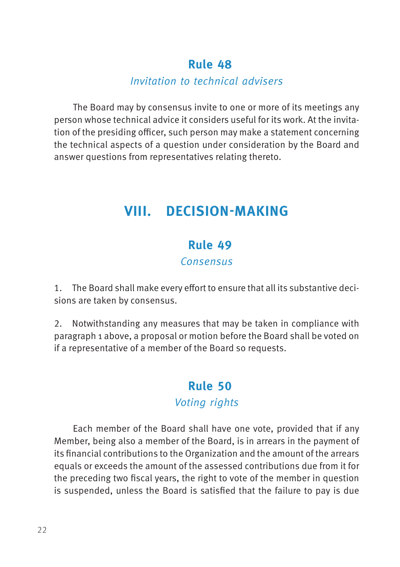#### Invitation to technical advisers

<span id="page-29-0"></span>The Board may by consensus invite to one or more of its meetings any person whose technical advice it considers useful for its work. At the invitation of the presiding officer, such person may make a statement concerning the technical aspects of a question under consideration by the Board and answer questions from representatives relating thereto.

## **VIII. DECISION-MAKING**

#### **51Rule 49**

#### **Consensus**

1. The Board shall make every effort to ensure that all its substantive decisions are taken by consensus.

2. Notwithstanding any measures that may be taken in compliance with paragraph 1 above, a proposal or motion before the Board shall be voted on if a representative of a member of the Board so requests.

### **52Rule 50** Voting rights

Each member of the Board shall have one vote, provided that if any Member, being also a member of the Board, is in arrears in the payment of its financial contributions to the Organization and the amount of the arrears equals or exceeds the amount of the assessed contributions due from it for the preceding two fiscal years, the right to vote of the member in question is suspended, unless the Board is satisfied that the failure to pay is due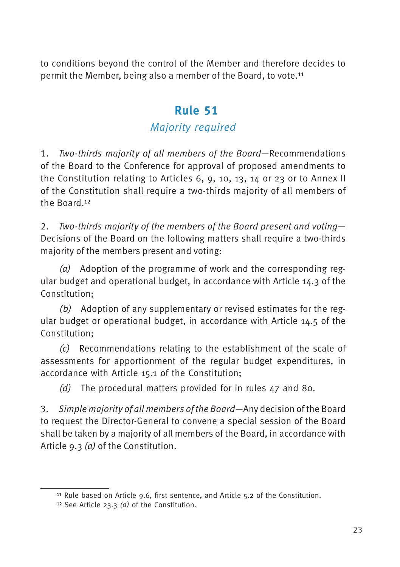<span id="page-30-0"></span>to conditions beyond the control of the Member and therefore decides to permit the Member, being also a member of the Board, to vote.11

#### **53Rule 51**

#### Majority required

1. Two-thirds majority of all members of the Board—Recommendations of the Board to the Conference for approval of proposed amendments to the Constitution relating to Articles 6, 9, 10, 13, 14 or 23 or to Annex II of the Constitution shall require a two-thirds majority of all members of the Board.12

2. Two-thirds majority of the members of the Board present and voting— Decisions of the Board on the following matters shall require a two-thirds majority of the members present and voting:

(a) Adoption of the programme of work and the corresponding regular budget and operational budget, in accordance with Article 14.3 of the Constitution;

 $(b)$  Adoption of any supplementary or revised estimates for the regular budget or operational budget, in accordance with Article 14.5 of the Constitution;

(c) Recommendations relating to the establishment of the scale of assessments for apportionment of the regular budget expenditures, in accordance with Article 15.1 of the Constitution;

(d) The procedural matters provided for in rules 47 and 80.

3. Simple majority of all members of the Board—Any decision of the Board to request the Director-General to convene a special session of the Board shall be taken by a majority of all members of the Board, in accordance with Article 9.3 (a) of the Constitution.

<sup>11</sup> Rule based on Article 9.6, first sentence, and Article 5.2 of the Constitution.

<sup>&</sup>lt;sup>12</sup> See Article 23.3 (a) of the Constitution.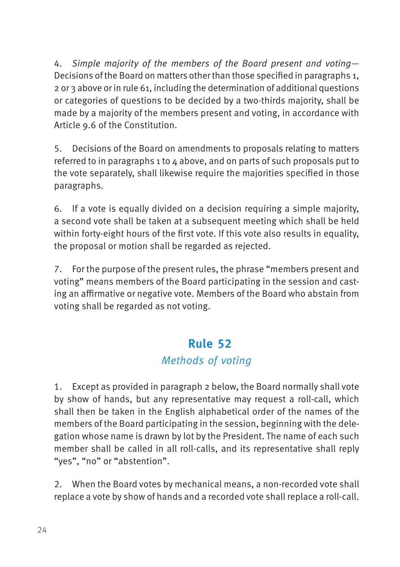<span id="page-31-0"></span>4. Simple majority of the members of the Board present and voting— Decisions of the Board on matters other than those specified in paragraphs 1, 2 or 3 above or in rule 61, including the determination of additional questions or categories of questions to be decided by a two-thirds majority, shall be made by a majority of the members present and voting, in accordance with Article 9.6 of the Constitution.

5. Decisions of the Board on amendments to proposals relating to matters referred to in paragraphs 1 to 4 above, and on parts of such proposals put to the vote separately, shall likewise require the majorities specified in those paragraphs.

6. If a vote is equally divided on a decision requiring a simple majority, a second vote shall be taken at a subsequent meeting which shall be held within forty-eight hours of the first vote. If this vote also results in equality, the proposal or motion shall be regarded as rejected.

7. For the purpose of the present rules, the phrase "members present and voting" means members of the Board participating in the session and casting an affirmative or negative vote. Members of the Board who abstain from voting shall be regarded as not voting.

#### **54Rule 52**

#### Methods of voting

1. Except as provided in paragraph 2 below, the Board normally shall vote by show of hands, but any representative may request a roll-call, which shall then be taken in the English alphabetical order of the names of the members of the Board participating in the session, beginning with the delegation whose name is drawn by lot by the President. The name of each such member shall be called in all roll-calls, and its representative shall reply "yes", "no" or "abstention".

2. When the Board votes by mechanical means, a non-recorded vote shall replace a vote by show of hands and a recorded vote shall replace a roll-call.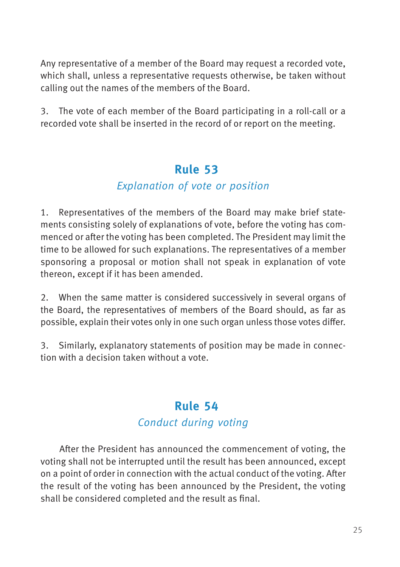<span id="page-32-0"></span>Any representative of a member of the Board may request a recorded vote, which shall, unless a representative requests otherwise, be taken without calling out the names of the members of the Board.

3. The vote of each member of the Board participating in a roll-call or a recorded vote shall be inserted in the record of or report on the meeting.

#### **55Rule 53**

#### Explanation of vote or position

1. Representatives of the members of the Board may make brief statements consisting solely of explanations of vote, before the voting has commenced or after the voting has been completed. The President may limit the time to be allowed for such explanations. The representatives of a member sponsoring a proposal or motion shall not speak in explanation of vote thereon, except if it has been amended.

2. When the same matter is considered successively in several organs of the Board, the representatives of members of the Board should, as far as possible, explain their votes only in one such organ unless those votes differ.

3. Similarly, explanatory statements of position may be made in connection with a decision taken without a vote.

#### **56Rule 54**

#### Conduct during voting

After the President has announced the commencement of voting, the voting shall not be interrupted until the result has been announced, except on a point of order in connection with the actual conduct of the voting. After the result of the voting has been announced by the President, the voting shall be considered completed and the result as final.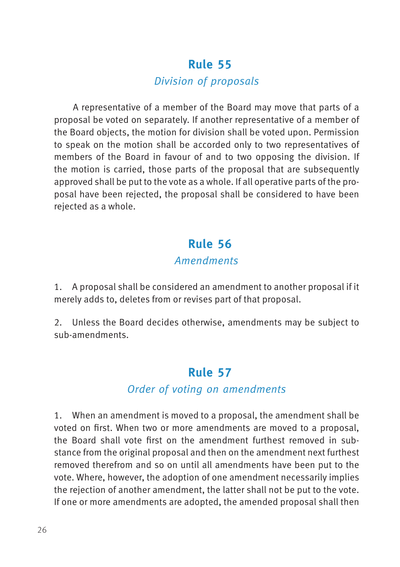#### Division of proposals

<span id="page-33-0"></span>A representative of a member of the Board may move that parts of a proposal be voted on separately. If another representative of a member of the Board objects, the motion for division shall be voted upon. Permission to speak on the motion shall be accorded only to two representatives of members of the Board in favour of and to two opposing the division. If the motion is carried, those parts of the proposal that are subsequently approved shall be put to the vote as a whole. If all operative parts of the proposal have been rejected, the proposal shall be considered to have been rejected as a whole.

#### **58Rule 56**

#### Amendments

1. A proposal shall be considered an amendment to another proposal if it merely adds to, deletes from or revises part of that proposal.

2. Unless the Board decides otherwise, amendments may be subject to sub-amendments.

#### **59Rule 57**

#### Order of voting on amendments

1. When an amendment is moved to a proposal, the amendment shall be voted on first. When two or more amendments are moved to a proposal, the Board shall vote first on the amendment furthest removed in substance from the original proposal and then on the amendment next furthest removed therefrom and so on until all amendments have been put to the vote. Where, however, the adoption of one amendment necessarily implies the rejection of another amendment, the latter shall not be put to the vote. If one or more amendments are adopted, the amended proposal shall then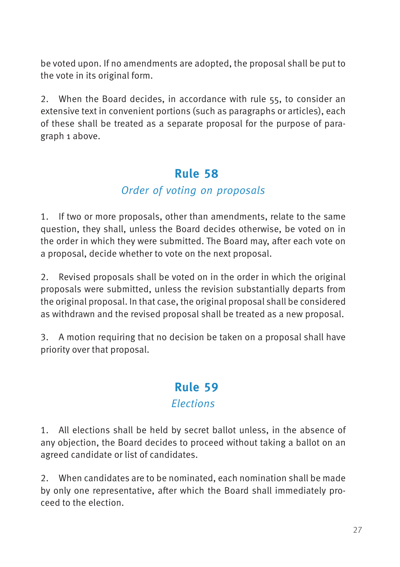<span id="page-34-0"></span>be voted upon. If no amendments are adopted, the proposal shall be put to the vote in its original form.

2. When the Board decides, in accordance with rule 55, to consider an extensive text in convenient portions (such as paragraphs or articles), each of these shall be treated as a separate proposal for the purpose of paragraph 1 above.

#### **60Rule 58**

#### Order of voting on proposals

1. If two or more proposals, other than amendments, relate to the same question, they shall, unless the Board decides otherwise, be voted on in the order in which they were submitted. The Board may, after each vote on a proposal, decide whether to vote on the next proposal.

2. Revised proposals shall be voted on in the order in which the original proposals were submitted, unless the revision substantially departs from the original proposal. In that case, the original proposal shall be considered as withdrawn and the revised proposal shall be treated as a new proposal.

3. A motion requiring that no decision be taken on a proposal shall have priority over that proposal.

#### **61Rule 59 Elections**

1. All elections shall be held by secret ballot unless, in the absence of any objection, the Board decides to proceed without taking a ballot on an agreed candidate or list of candidates.

2. When candidates are to be nominated, each nomination shall be made by only one representative, after which the Board shall immediately proceed to the election.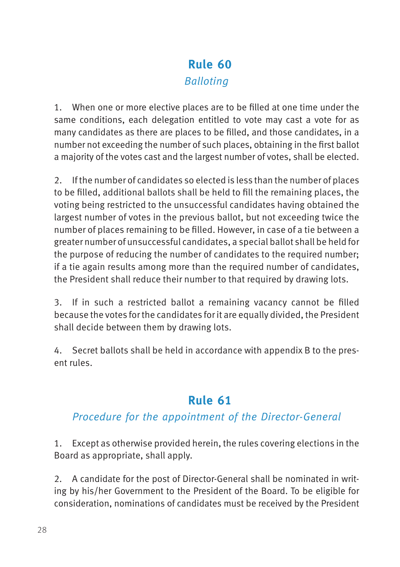#### **62Rule 60** Balloting

<span id="page-35-0"></span>1. When one or more elective places are to be filled at one time under the same conditions, each delegation entitled to vote may cast a vote for as many candidates as there are places to be filled, and those candidates, in a number not exceeding the number of such places, obtaining in the first ballot a majority of the votes cast and the largest number of votes, shall be elected.

2. If the number of candidates so elected is less than the number of places to be filled, additional ballots shall be held to fill the remaining places, the voting being restricted to the unsuccessful candidates having obtained the largest number of votes in the previous ballot, but not exceeding twice the number of places remaining to be filled. However, in case of a tie between a greater number of unsuccessful candidates, a special ballot shall be held for the purpose of reducing the number of candidates to the required number: if a tie again results among more than the required number of candidates, the President shall reduce their number to that required by drawing lots.

3. If in such a restricted ballot a remaining vacancy cannot be filled because the votes for the candidates for it are equally divided, the President shall decide between them by drawing lots.

4. Secret ballots shall be held in accordance with appendix B to the present rules.

### **63Rule 61**

#### Procedure for the appointment of the Director-General

1. Except as otherwise provided herein, the rules covering elections in the Board as appropriate, shall apply.

2. A candidate for the post of Director-General shall be nominated in writing by his/her Government to the President of the Board. To be eligible for consideration, nominations of candidates must be received by the President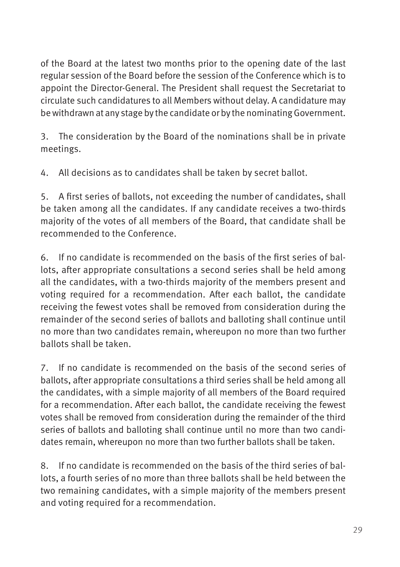of the Board at the latest two months prior to the opening date of the last regular session of the Board before the session of the Conference which is to appoint the Director-General. The President shall request the Secretariat to circulate such candidatures to all Members without delay. A candidature may be withdrawn at any stage by the candidate or by the nominating Government.

3. The consideration by the Board of the nominations shall be in private meetings.

4. All decisions as to candidates shall be taken by secret ballot.

5. A first series of ballots, not exceeding the number of candidates, shall be taken among all the candidates. If any candidate receives a two-thirds majority of the votes of all members of the Board, that candidate shall be recommended to the Conference.

6. If no candidate is recommended on the basis of the first series of ballots, after appropriate consultations a second series shall be held among all the candidates, with a two-thirds majority of the members present and voting required for a recommendation. After each ballot, the candidate receiving the fewest votes shall be removed from consideration during the remainder of the second series of ballots and balloting shall continue until no more than two candidates remain, whereupon no more than two further ballots shall be taken.

7. If no candidate is recommended on the basis of the second series of ballots, after appropriate consultations a third series shall be held among all the candidates, with a simple majority of all members of the Board required for a recommendation. After each ballot, the candidate receiving the fewest votes shall be removed from consideration during the remainder of the third series of ballots and balloting shall continue until no more than two candidates remain, whereupon no more than two further ballots shall be taken.

8. If no candidate is recommended on the basis of the third series of ballots, a fourth series of no more than three ballots shall be held between the two remaining candidates, with a simple majority of the members present and voting required for a recommendation.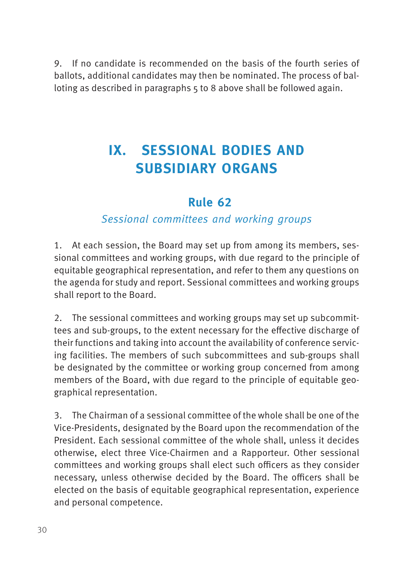<span id="page-37-0"></span>9. If no candidate is recommended on the basis of the fourth series of ballots, additional candidates may then be nominated. The process of balloting as described in paragraphs 5 to 8 above shall be followed again.

## **IX. SESSIONAL BODIES AND SUBSIDIARY ORGANS**

#### **64Rule 62**

#### Sessional committees and working groups

1. At each session, the Board may set up from among its members, sessional committees and working groups, with due regard to the principle of equitable geographical representation, and refer to them any questions on the agenda for study and report. Sessional committees and working groups shall report to the Board.

2. The sessional committees and working groups may set up subcommittees and sub-groups, to the extent necessary for the effective discharge of their functions and taking into account the availability of conference servicing facilities. The members of such subcommittees and sub-groups shall be designated by the committee or working group concerned from among members of the Board, with due regard to the principle of equitable geographical representation.

3. The Chairman of a sessional committee of the whole shall be one of the Vice-Presidents, designated by the Board upon the recommendation of the President. Each sessional committee of the whole shall, unless it decides otherwise, elect three Vice-Chairmen and a Rapporteur. Other sessional committees and working groups shall elect such officers as they consider necessary, unless otherwise decided by the Board. The officers shall be elected on the basis of equitable geographical representation, experience and personal competence.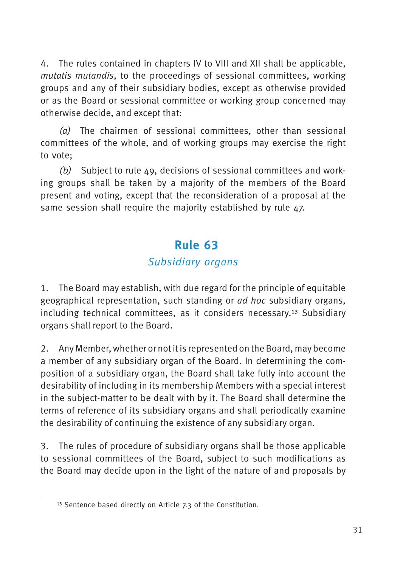<span id="page-38-0"></span>4. The rules contained in chapters IV to VIII and XII shall be applicable, mutatis mutandis, to the proceedings of sessional committees, working groups and any of their subsidiary bodies, except as otherwise provided or as the Board or sessional committee or working group concerned may otherwise decide, and except that:

(a) The chairmen of sessional committees, other than sessional committees of the whole, and of working groups may exercise the right to vote;

(b) Subject to rule  $\Delta \varphi$ , decisions of sessional committees and working groups shall be taken by a majority of the members of the Board present and voting, except that the reconsideration of a proposal at the same session shall require the majority established by rule 47.

#### **65Rule 63**

#### Subsidiary organs

1. The Board may establish, with due regard for the principle of equitable geographical representation, such standing or ad hoc subsidiary organs, including technical committees, as it considers necessary.13 Subsidiary organs shall report to the Board.

2. Any Member, whether or not it is represented on the Board, may become a member of any subsidiary organ of the Board. In determining the composition of a subsidiary organ, the Board shall take fully into account the desirability of including in its membership Members with a special interest in the subject-matter to be dealt with by it. The Board shall determine the terms of reference of its subsidiary organs and shall periodically examine the desirability of continuing the existence of any subsidiary organ.

3. The rules of procedure of subsidiary organs shall be those applicable to sessional committees of the Board, subject to such modifications as the Board may decide upon in the light of the nature of and proposals by

<sup>13</sup> Sentence based directly on Article 7.3 of the Constitution.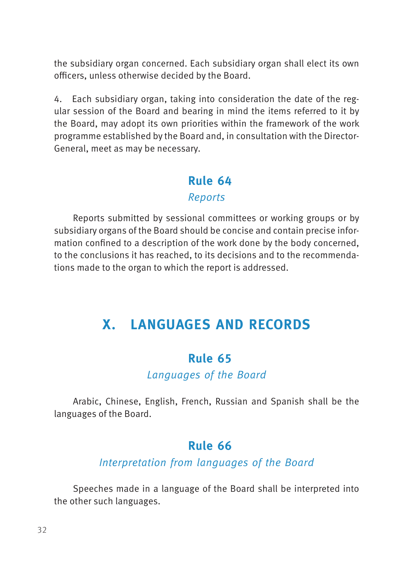<span id="page-39-0"></span>the subsidiary organ concerned. Each subsidiary organ shall elect its own officers, unless otherwise decided by the Board.

4. Each subsidiary organ, taking into consideration the date of the regular session of the Board and bearing in mind the items referred to it by the Board, may adopt its own priorities within the framework of the work programme established by the Board and, in consultation with the Director-General, meet as may be necessary.

## **66Rule 64**

#### Reports

Reports submitted by sessional committees or working groups or by subsidiary organs of the Board should be concise and contain precise information confined to a description of the work done by the body concerned, to the conclusions it has reached, to its decisions and to the recommendations made to the organ to which the report is addressed.

## **X. LANGUAGES AND RECORDS**

#### **67Rule 65**

Languages of the Board

Arabic, Chinese, English, French, Russian and Spanish shall be the languages of the Board.

#### **68Rule 66**

#### Interpretation from languages of the Board

Speeches made in a language of the Board shall be interpreted into the other such languages.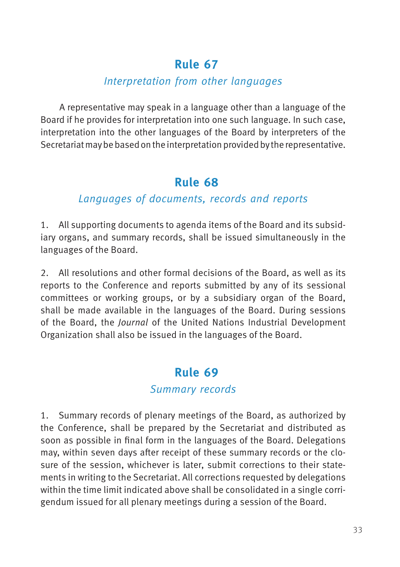#### Interpretation from other languages

<span id="page-40-0"></span>A representative may speak in a language other than a language of the Board if he provides for interpretation into one such language. In such case, interpretation into the other languages of the Board by interpreters of the Secretariat may be based on the interpretation provided by the representative.

#### **70Rule 68**

#### Languages of documents, records and reports

1. All supporting documents to agenda items of the Board and its subsidiary organs, and summary records, shall be issued simultaneously in the languages of the Board.

2. All resolutions and other formal decisions of the Board, as well as its reports to the Conference and reports submitted by any of its sessional committees or working groups, or by a subsidiary organ of the Board, shall be made available in the languages of the Board. During sessions of the Board, the Journal of the United Nations Industrial Development Organization shall also be issued in the languages of the Board.

### **71Rule 69**

#### Summary records

1. Summary records of plenary meetings of the Board, as authorized by the Conference, shall be prepared by the Secretariat and distributed as soon as possible in final form in the languages of the Board. Delegations may, within seven days after receipt of these summary records or the closure of the session, whichever is later, submit corrections to their statements in writing to the Secretariat. All corrections requested by delegations within the time limit indicated above shall be consolidated in a single corrigendum issued for all plenary meetings during a session of the Board.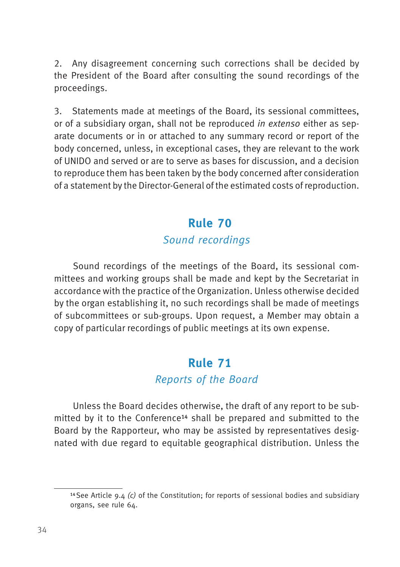<span id="page-41-0"></span>2. Any disagreement concerning such corrections shall be decided by the President of the Board after consulting the sound recordings of the proceedings.

3. Statements made at meetings of the Board, its sessional committees, or of a subsidiary organ, shall not be reproduced in extenso either as separate documents or in or attached to any summary record or report of the body concerned, unless, in exceptional cases, they are relevant to the work of UNIDO and served or are to serve as bases for discussion, and a decision to reproduce them has been taken by the body concerned after consideration of a statement by the Director-General of the estimated costs of reproduction.

#### **72Rule 70**

#### Sound recordings

Sound recordings of the meetings of the Board, its sessional committees and working groups shall be made and kept by the Secretariat in accordance with the practice of the Organization. Unless otherwise decided by the organ establishing it, no such recordings shall be made of meetings of subcommittees or sub-groups. Upon request, a Member may obtain a copy of particular recordings of public meetings at its own expense.

#### **73Rule 71**

#### Reports of the Board

Unless the Board decides otherwise, the draft of any report to be submitted by it to the Conference14 shall be prepared and submitted to the Board by the Rapporteur, who may be assisted by representatives designated with due regard to equitable geographical distribution. Unless the

<sup>&</sup>lt;sup>14</sup> See Article 9.4 (c) of the Constitution; for reports of sessional bodies and subsidiary organs, see rule 64.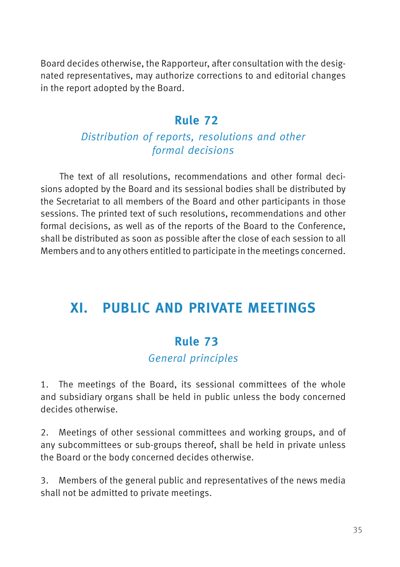<span id="page-42-0"></span>Board decides otherwise, the Rapporteur, after consultation with the designated representatives, may authorize corrections to and editorial changes in the report adopted by the Board.

#### **74Rule 72**

#### Distribution of reports, resolutions and other formal decisions

The text of all resolutions, recommendations and other formal decisions adopted by the Board and its sessional bodies shall be distributed by the Secretariat to all members of the Board and other participants in those sessions. The printed text of such resolutions, recommendations and other formal decisions, as well as of the reports of the Board to the Conference, shall be distributed as soon as possible after the close of each session to all Members and to any others entitled to participate in the meetings concerned.

## **XI. PUBLIC AND PRIVATE MEETINGS**

#### **75Rule 73**

#### General principles

1. The meetings of the Board, its sessional committees of the whole and subsidiary organs shall be held in public unless the body concerned decides otherwise.

2. Meetings of other sessional committees and working groups, and of any subcommittees or sub-groups thereof, shall be held in private unless the Board or the body concerned decides otherwise.

3. Members of the general public and representatives of the news media shall not be admitted to private meetings.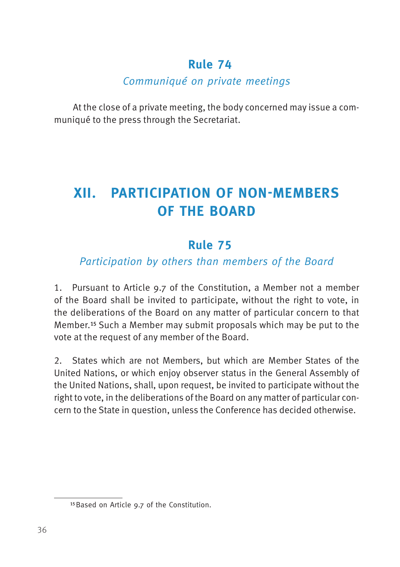#### Communiqué on private meetings

<span id="page-43-0"></span>At the close of a private meeting, the body concerned may issue a communiqué to the press through the Secretariat.

## **XII. PARTICIPATION OF NON-MEMBERS OF THE BOARD**

#### **77Rule 75**

#### Participation by others than members of the Board

1. Pursuant to Article 9.7 of the Constitution, a Member not a member of the Board shall be invited to participate, without the right to vote, in the deliberations of the Board on any matter of particular concern to that Member.15 Such a Member may submit proposals which may be put to the vote at the request of any member of the Board.

2. States which are not Members, but which are Member States of the United Nations, or which enjoy observer status in the General Assembly of the United Nations, shall, upon request, be invited to participate without the right to vote, in the deliberations of the Board on any matter of particular concern to the State in question, unless the Conference has decided otherwise.

<sup>15</sup> Based on Article 9.7 of the Constitution.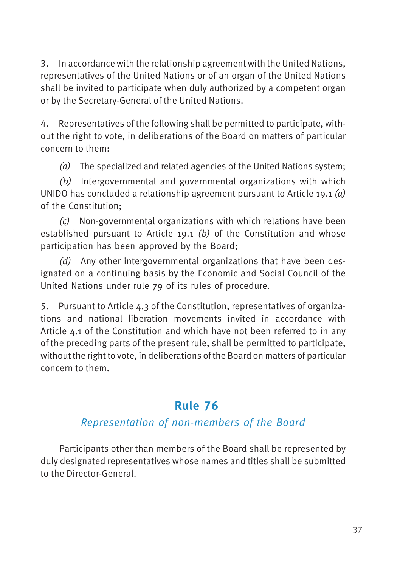<span id="page-44-0"></span>3. In accordance with the relationship agreement with the United Nations, representatives of the United Nations or of an organ of the United Nations shall be invited to participate when duly authorized by a competent organ or by the Secretary-General of the United Nations.

4. Representatives of the following shall be permitted to participate, without the right to vote, in deliberations of the Board on matters of particular concern to them:

(a) The specialized and related agencies of the United Nations system:

(b) Intergovernmental and governmental organizations with which UNIDO has concluded a relationship agreement pursuant to Article 19.1  $(a)$ of the Constitution;

(c) Non-governmental organizations with which relations have been established pursuant to Article  $19.1$  (b) of the Constitution and whose participation has been approved by the Board;

(d) Any other intergovernmental organizations that have been designated on a continuing basis by the Economic and Social Council of the United Nations under rule 79 of its rules of procedure.

5. Pursuant to Article 4.3 of the Constitution, representatives of organizations and national liberation movements invited in accordance with Article 4.1 of the Constitution and which have not been referred to in any of the preceding parts of the present rule, shall be permitted to participate, without the right to vote, in deliberations of the Board on matters of particular concern to them.

### **78Rule 76**

#### Representation of non-members of the Board

Participants other than members of the Board shall be represented by duly designated representatives whose names and titles shall be submitted to the Director-General.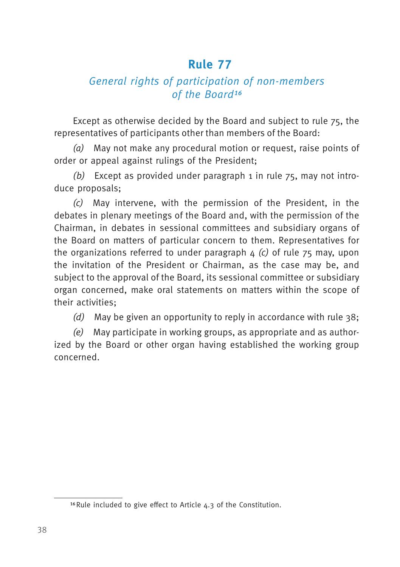#### <span id="page-45-0"></span>General rights of participation of non-members of the Board<sup>16</sup>

Except as otherwise decided by the Board and subject to rule 75, the representatives of participants other than members of the Board:

(a) May not make any procedural motion or request, raise points of order or appeal against rulings of the President;

(b) Except as provided under paragraph 1 in rule  $75$ , may not introduce proposals;

(c) May intervene, with the permission of the President, in the debates in plenary meetings of the Board and, with the permission of the Chairman, in debates in sessional committees and subsidiary organs of the Board on matters of particular concern to them. Representatives for the organizations referred to under paragraph  $\Delta$  (c) of rule  $75$  may, upon the invitation of the President or Chairman, as the case may be, and subject to the approval of the Board, its sessional committee or subsidiary organ concerned, make oral statements on matters within the scope of their activities;

(d) May be given an opportunity to reply in accordance with rule  $38$ ;

(e) May participate in working groups, as appropriate and as authorized by the Board or other organ having established the working group concerned.

<sup>16</sup>Rule included to give effect to Article 4.3 of the Constitution.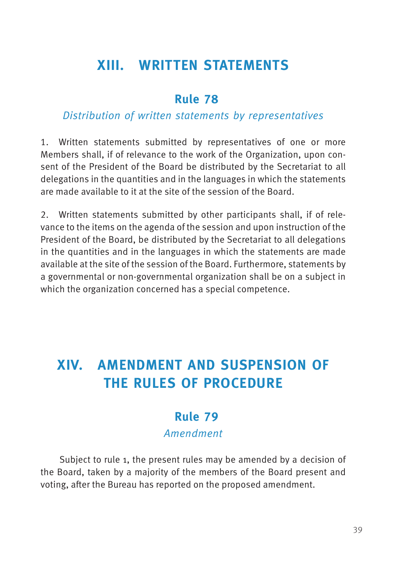## <span id="page-46-0"></span>**XIII. WRITTEN STATEMENTS**

#### **80Rule 78**

#### Distribution of written statements by representatives

1. Written statements submitted by representatives of one or more Members shall, if of relevance to the work of the Organization, upon consent of the President of the Board be distributed by the Secretariat to all delegations in the quantities and in the languages in which the statements are made available to it at the site of the session of the Board.

2. Written statements submitted by other participants shall, if of relevance to the items on the agenda of the session and upon instruction of the President of the Board, be distributed by the Secretariat to all delegations in the quantities and in the languages in which the statements are made available at the site of the session of the Board. Furthermore, statements by a governmental or non-governmental organization shall be on a subject in which the organization concerned has a special competence.

## **XIV. AMENDMENT AND SUSPENSION OF THE RULES OF PROCEDURE**

#### **81Rule 79** Amendment

Subject to rule 1, the present rules may be amended by a decision of the Board, taken by a majority of the members of the Board present and voting, after the Bureau has reported on the proposed amendment.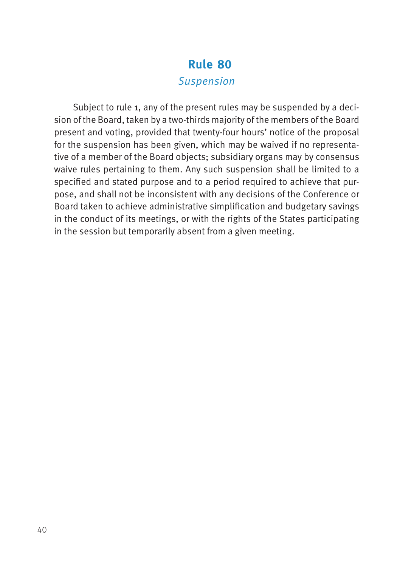#### Suspension

<span id="page-47-0"></span>Subject to rule 1, any of the present rules may be suspended by a decision of the Board, taken by a two-thirds majority of the members of the Board present and voting, provided that twenty-four hours' notice of the proposal for the suspension has been given, which may be waived if no representative of a member of the Board objects; subsidiary organs may by consensus waive rules pertaining to them. Any such suspension shall be limited to a specified and stated purpose and to a period required to achieve that purpose, and shall not be inconsistent with any decisions of the Conference or Board taken to achieve administrative simplification and budgetary savings in the conduct of its meetings, or with the rights of the States participating in the session but temporarily absent from a given meeting.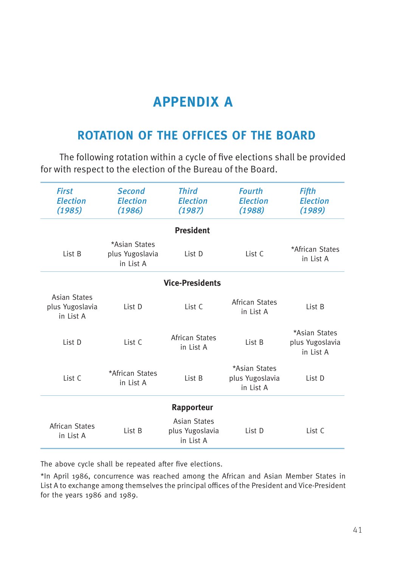## **APPENDIX A**

#### <span id="page-48-0"></span>**ROTATION OF THE OFFICES OF THE BOARD**

The following rotation within a cycle of five elections shall be provided for with respect to the election of the Bureau of the Board.

| <b>First</b><br><b>Election</b><br>(1985)           | <b>Second</b><br><b>Election</b><br>(1986)    | <b>Third</b><br><b>Election</b><br>(1987)           | <b>Fourth</b><br><b>Election</b><br>(1988)    | Fifth<br><b>Election</b><br>(1989)            |
|-----------------------------------------------------|-----------------------------------------------|-----------------------------------------------------|-----------------------------------------------|-----------------------------------------------|
|                                                     |                                               | <b>President</b>                                    |                                               |                                               |
| List B                                              | *Asian States<br>plus Yugoslavia<br>in List A | List D                                              | List C                                        | *African States<br>in List A                  |
|                                                     |                                               | <b>Vice-Presidents</b>                              |                                               |                                               |
| <b>Asian States</b><br>plus Yugoslavia<br>in List A | List D                                        | List C                                              | African States<br>in List A                   | List B                                        |
| List D                                              | List C                                        | African States<br>in List A                         | List B                                        | *Asian States<br>plus Yugoslavia<br>in List A |
| List C                                              | *African States<br>in List A                  | List B                                              | *Asian States<br>plus Yugoslavia<br>in List A | List D                                        |
|                                                     |                                               | Rapporteur                                          |                                               |                                               |
| African States<br>in List A                         | List B                                        | <b>Asian States</b><br>plus Yugoslavia<br>in List A | List D                                        | List C                                        |

The above cycle shall be repeated after five elections.

\*In April 1986, concurrence was reached among the African and Asian Member States in List A to exchange among themselves the principal offices of the President and Vice-President for the years 1986 and 1989.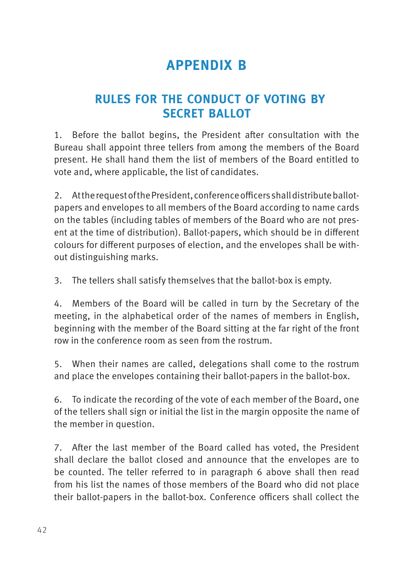## **APPENDIX B**

### <span id="page-49-0"></span>**RULES FOR THE CONDUCT OF VOTING BY SECRET BALLOT**

1. Before the ballot begins, the President after consultation with the Bureau shall appoint three tellers from among the members of the Board present. He shall hand them the list of members of the Board entitled to vote and, where applicable, the list of candidates.

2. At the request of the President, conference officers shall distribute ballotpapers and envelopes to all members of the Board according to name cards on the tables (including tables of members of the Board who are not present at the time of distribution). Ballot-papers, which should be in different colours for different purposes of election, and the envelopes shall be without distinguishing marks.

3. The tellers shall satisfy themselves that the ballot-box is empty.

4. Members of the Board will be called in turn by the Secretary of the meeting, in the alphabetical order of the names of members in English, beginning with the member of the Board sitting at the far right of the front row in the conference room as seen from the rostrum.

5. When their names are called, delegations shall come to the rostrum and place the envelopes containing their ballot-papers in the ballot-box.

6. To indicate the recording of the vote of each member of the Board, one of the tellers shall sign or initial the list in the margin opposite the name of the member in question.

7. After the last member of the Board called has voted, the President shall declare the ballot closed and announce that the envelopes are to be counted. The teller referred to in paragraph 6 above shall then read from his list the names of those members of the Board who did not place their ballot-papers in the ballot-box. Conference officers shall collect the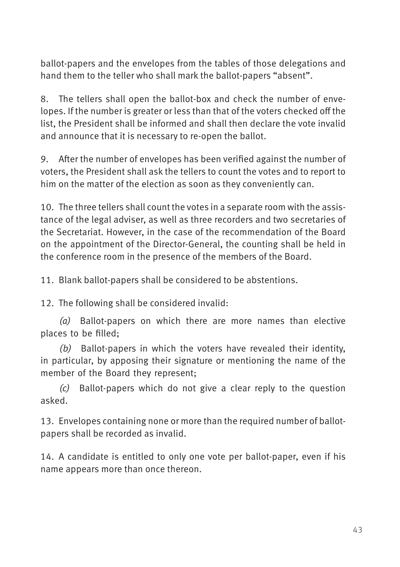ballot-papers and the envelopes from the tables of those delegations and hand them to the teller who shall mark the ballot-papers "absent".

8. The tellers shall open the ballot-box and check the number of envelopes. If the number is greater or less than that of the voters checked off the list, the President shall be informed and shall then declare the vote invalid and announce that it is necessary to re-open the ballot.

9. After the number of envelopes has been verified against the number of voters, the President shall ask the tellers to count the votes and to report to him on the matter of the election as soon as they conveniently can.

10. The three tellers shall count the votes in a separate room with the assistance of the legal adviser, as well as three recorders and two secretaries of the Secretariat. However, in the case of the recommendation of the Board on the appointment of the Director-General, the counting shall be held in the conference room in the presence of the members of the Board.

11. Blank ballot-papers shall be considered to be abstentions.

12. The following shall be considered invalid:

(a) Ballot-papers on which there are more names than elective places to be filled;

(b) Ballot-papers in which the voters have revealed their identity, in particular, by apposing their signature or mentioning the name of the member of the Board they represent;

(c) Ballot-papers which do not give a clear reply to the question asked.

13. Envelopes containing none or more than the required number of ballotpapers shall be recorded as invalid.

14. A candidate is entitled to only one vote per ballot-paper, even if his name appears more than once thereon.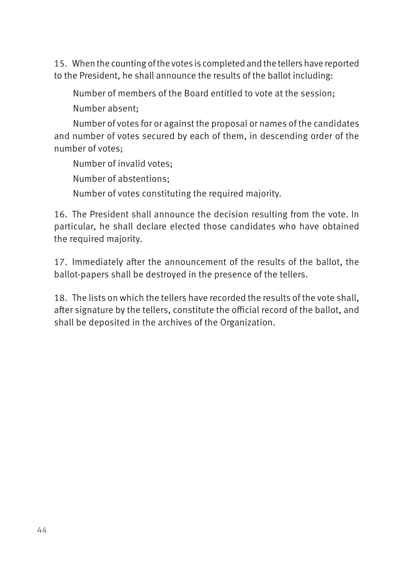15. When the counting of the votes is completed and the tellers have reported to the President, he shall announce the results of the ballot including:

Number of members of the Board entitled to vote at the session;

Number absent;

Number of votes for or against the proposal or names of the candidates and number of votes secured by each of them, in descending order of the number of votes;

Number of invalid votes;

Number of abstentions;

Number of votes constituting the required majority.

16. The President shall announce the decision resulting from the vote. In particular, he shall declare elected those candidates who have obtained the required majority.

17. Immediately after the announcement of the results of the ballot, the ballot-papers shall be destroyed in the presence of the tellers.

18. The lists on which the tellers have recorded the results of the vote shall, after signature by the tellers, constitute the official record of the ballot, and shall be deposited in the archives of the Organization.